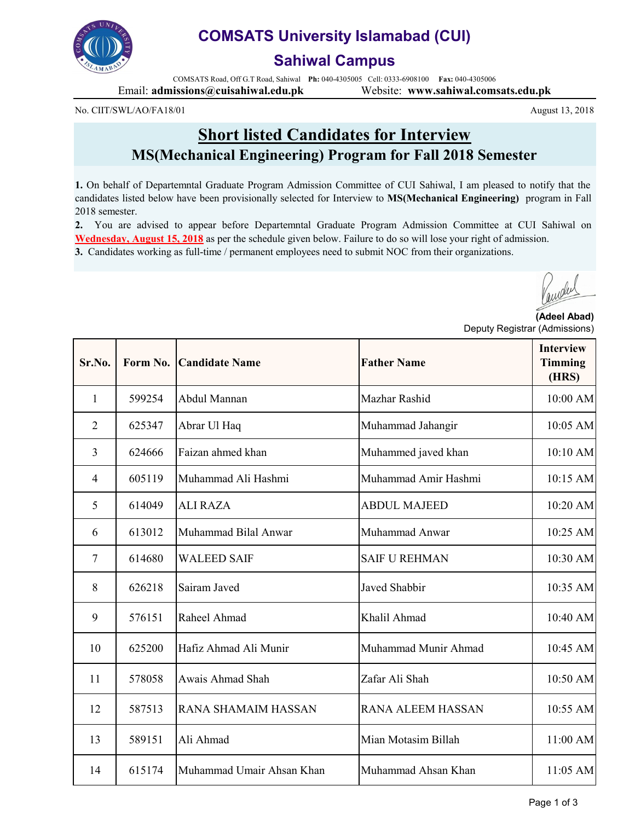

## **COMSATS University Islamabad (CUI)**

### **Sahiwal Campus**

COMSATS Road, Off G.T Road, Sahiwal **Ph:** 040-4305005 Cell: 0333-6908100 **Fax:** 040-4305006 Email: **admissions@cuisahiwal.edu.pk** Website: **www.sahiwal.comsats.edu.pk**

No. CIIT/SWL/AO/FA18/01

## **Short listed Candidates for Interview MS(Mechanical Engineering) Program for Fall 2018 Semester**

**1.** On behalf of Departemntal Graduate Program Admission Committee of CUI Sahiwal, I am pleased to notify that the candidates listed below have been provisionally selected for Interview to **MS(Mechanical Engineering)** program in Fall 2018 semester.

**2.** You are advised to appear before Departemntal Graduate Program Admission Committee at CUI Sahiwal on **Wednesday, August 15, 2018** as per the schedule given below. Failure to do so will lose your right of admission. **3.** Candidates working as full-time / permanent employees need to submit NOC from their organizations.

August 13, 2018

**(Adeel Abad)** Deputy Registrar (Admissions)

| Sr.No.         | Form No. | <b>Candidate Name</b>      | <b>Father Name</b>       | <b>Interview</b><br><b>Timming</b><br>(HRS) |
|----------------|----------|----------------------------|--------------------------|---------------------------------------------|
| 1              | 599254   | Abdul Mannan               | Mazhar Rashid            | 10:00 AM                                    |
| $\overline{2}$ | 625347   | Abrar Ul Haq               | Muhammad Jahangir        | 10:05 AM                                    |
| $\overline{3}$ | 624666   | Faizan ahmed khan          | Muhammed javed khan      | 10:10 AM                                    |
| $\overline{4}$ | 605119   | Muhammad Ali Hashmi        | Muhammad Amir Hashmi     | 10:15 AM                                    |
| 5              | 614049   | <b>ALI RAZA</b>            | <b>ABDUL MAJEED</b>      | 10:20 AM                                    |
| 6              | 613012   | Muhammad Bilal Anwar       | Muhammad Anwar           | 10:25 AM                                    |
| 7              | 614680   | <b>WALEED SAIF</b>         | <b>SAIF U REHMAN</b>     | 10:30 AM                                    |
| 8              | 626218   | Sairam Javed               | <b>Javed Shabbir</b>     | 10:35 AM                                    |
| 9              | 576151   | Raheel Ahmad               | Khalil Ahmad             | 10:40 AM                                    |
| 10             | 625200   | Hafiz Ahmad Ali Munir      | Muhammad Munir Ahmad     | 10:45 AM                                    |
| 11             | 578058   | Awais Ahmad Shah           | Zafar Ali Shah           | 10:50 AM                                    |
| 12             | 587513   | <b>RANA SHAMAIM HASSAN</b> | <b>RANA ALEEM HASSAN</b> | 10:55 AM                                    |
| 13             | 589151   | Ali Ahmad                  | Mian Motasim Billah      | 11:00 AM                                    |
| 14             | 615174   | Muhammad Umair Ahsan Khan  | Muhammad Ahsan Khan      | 11:05 AM                                    |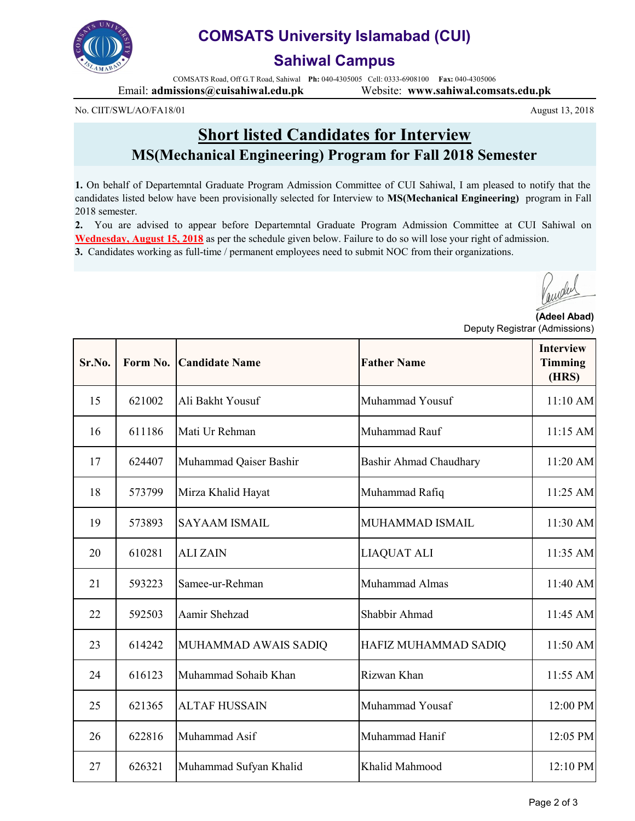

## **COMSATS University Islamabad (CUI)**

### **Sahiwal Campus**

COMSATS Road, Off G.T Road, Sahiwal **Ph:** 040-4305005 Cell: 0333-6908100 **Fax:** 040-4305006 Email: **admissions@cuisahiwal.edu.pk** Website: **www.sahiwal.comsats.edu.pk**

No. CIIT/SWL/AO/FA18/01

**Short listed Candidates for Interview MS(Mechanical Engineering) Program for Fall 2018 Semester**

**1.** On behalf of Departemntal Graduate Program Admission Committee of CUI Sahiwal, I am pleased to notify that the candidates listed below have been provisionally selected for Interview to **MS(Mechanical Engineering)** program in Fall 2018 semester.

**2.** You are advised to appear before Departemntal Graduate Program Admission Committee at CUI Sahiwal on **Wednesday, August 15, 2018** as per the schedule given below. Failure to do so will lose your right of admission. **3.** Candidates working as full-time / permanent employees need to submit NOC from their organizations.

**(Adeel Abad)** Deputy Registrar (Admissions)

| Sr.No. | Form No. | <b>Candidate Name</b>  | <b>Father Name</b>     | <b>Interview</b><br><b>Timming</b><br>(HRS) |
|--------|----------|------------------------|------------------------|---------------------------------------------|
| 15     | 621002   | Ali Bakht Yousuf       | Muhammad Yousuf        | 11:10 AM                                    |
| 16     | 611186   | Mati Ur Rehman         | Muhammad Rauf          | 11:15 AM                                    |
| 17     | 624407   | Muhammad Qaiser Bashir | Bashir Ahmad Chaudhary | 11:20 AM                                    |
| 18     | 573799   | Mirza Khalid Hayat     | Muhammad Rafiq         | 11:25 AM                                    |
| 19     | 573893   | <b>SAYAAM ISMAIL</b>   | MUHAMMAD ISMAIL        | 11:30 AM                                    |
| 20     | 610281   | <b>ALIZAIN</b>         | <b>LIAQUAT ALI</b>     | 11:35 AM                                    |
| 21     | 593223   | Samee-ur-Rehman        | Muhammad Almas         | 11:40 AM                                    |
| 22     | 592503   | Aamir Shehzad          | Shabbir Ahmad          | 11:45 AM                                    |
| 23     | 614242   | MUHAMMAD AWAIS SADIQ   | HAFIZ MUHAMMAD SADIQ   | 11:50 AM                                    |
| 24     | 616123   | Muhammad Sohaib Khan   | Rizwan Khan            | 11:55 AM                                    |
| 25     | 621365   | <b>ALTAF HUSSAIN</b>   | Muhammad Yousaf        | 12:00 PM                                    |
| 26     | 622816   | Muhammad Asif          | Muhammad Hanif         | 12:05 PM                                    |
| 27     | 626321   | Muhammad Sufyan Khalid | Khalid Mahmood         | 12:10 PM                                    |

August 13, 2018